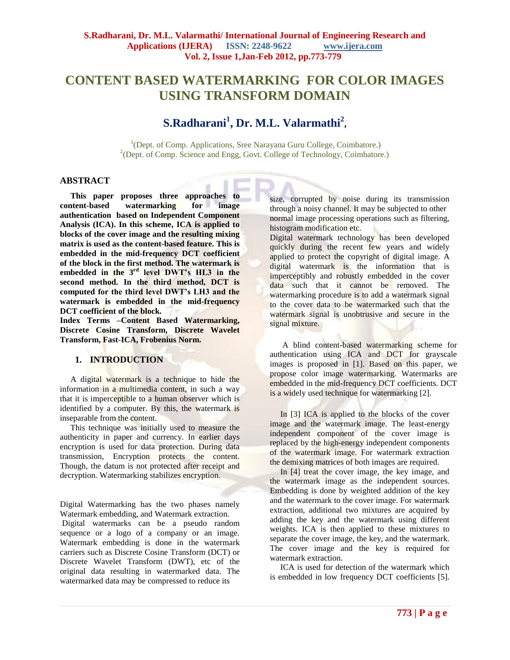# **CONTENT BASED WATERMARKING FOR COLOR IMAGES USING TRANSFORM DOMAIN**

# **S.Radharani<sup>1</sup> , Dr. M.L. Valarmathi<sup>2</sup> ,**

<sup>1</sup>(Dept. of Comp. Applications, Sree Narayana Guru College, Coimbatore.) <sup>2</sup>(Dept. of Comp. Science and Engg, Govt. College of Technology, Coimbatore.)

# **ABSTRACT**

 **This paper proposes three approaches to content-based watermarking for image authentication based on Independent Component Analysis (ICA). In this scheme, ICA is applied to blocks of the cover image and the resulting mixing matrix is used as the content-based feature. This is embedded in the mid-frequency DCT coefficient of the block in the first method. The watermark is embedded in the 3rd level DWT's HL3 in the second method. In the third method, DCT is computed for the third level DWT's LH3 and the watermark is embedded in the mid-frequency DCT coefficient of the block.**

**Index Terms –Content Based Watermarking, Discrete Cosine Transform, Discrete Wavelet Transform, Fast-ICA, Frobenius Norm.**

# **1. INTRODUCTION**

 A digital watermark is a technique to hide the information in a multimedia content, in such a way that it is imperceptible to a human observer which is identified by a computer. By this, the watermark is inseparable from the content.

 This technique was initially used to measure the authenticity in paper and currency. In earlier days encryption is used for data protection. During data transmission, Encryption protects the content. Though, the datum is not protected after receipt and decryption. Watermarking stabilizes encryption.

Digital Watermarking has the two phases namely Watermark embedding, and Watermark extraction.

Digital watermarks can be a pseudo random sequence or a logo of a company or an image. Watermark embedding is done in the watermark carriers such as Discrete Cosine Transform (DCT) or Discrete Wavelet Transform (DWT), etc of the original data resulting in watermarked data. The watermarked data may be compressed to reduce its

size, corrupted by noise during its transmission through a noisy channel. It may be subjected to other normal image processing operations such as filtering, histogram modification etc.

Digital watermark technology has been developed quickly during the recent few years and widely applied to protect the copyright of digital image. A digital watermark is the information that is imperceptibly and robustly embedded in the cover data such that it cannot be removed. The watermarking procedure is to add a watermark signal to the cover data to be watermarked such that the watermark signal is unobtrusive and secure in the signal mixture.

 A blind content-based watermarking scheme for authentication using ICA and DCT for grayscale images is proposed in [1]. Based on this paper, we propose color image watermarking. Watermarks are embedded in the mid-frequency DCT coefficients. DCT is a widely used technique for watermarking [2].

In [3] ICA is applied to the blocks of the cover image and the watermark image. The least-energy independent component of the cover image is replaced by the high-energy independent components of the watermark image. For watermark extraction the demixing matrices of both images are required.

 In [4] treat the cover image, the key image, and the watermark image as the independent sources. Embedding is done by weighted addition of the key and the watermark to the cover image. For watermark extraction, additional two mixtures are acquired by adding the key and the watermark using different weights. ICA is then applied to these mixtures to separate the cover image, the key, and the watermark. The cover image and the key is required for watermark extraction.

 ICA is used for detection of the watermark which is embedded in low frequency DCT coefficients [5].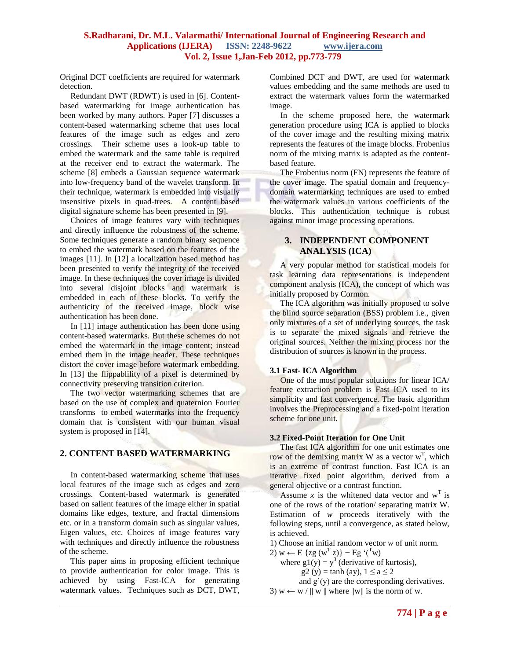Original DCT coefficients are required for watermark detection.

 Redundant DWT (RDWT) is used in [6]. Contentbased watermarking for image authentication has been worked by many authors. Paper [7] discusses a content-based watermarking scheme that uses local features of the image such as edges and zero crossings. Their scheme uses a look-up table to embed the watermark and the same table is required at the receiver end to extract the watermark. The scheme [8] embeds a Gaussian sequence watermark into low-frequency band of the wavelet transform. In their technique, watermark is embedded into visually insensitive pixels in quad-trees. A content based digital signature scheme has been presented in [9].

 Choices of image features vary with techniques and directly influence the robustness of the scheme. Some techniques generate a random binary sequence to embed the watermark based on the features of the images [11]. In [12] a localization based method has been presented to verify the integrity of the received image. In these techniques the cover image is divided into several disjoint blocks and watermark is embedded in each of these blocks. To verify the authenticity of the received image, block wise authentication has been done.

In [11] image authentication has been done using content-based watermarks. But these schemes do not embed the watermark in the image content; instead embed them in the image header. These techniques distort the cover image before watermark embedding. In [13] the flippablility of a pixel is determined by connectivity preserving transition criterion.

The two vector watermarking schemes that are based on the use of complex and quaternion Fourier transforms to embed watermarks into the frequency domain that is consistent with our human visual system is proposed in [14].

# **2. CONTENT BASED WATERMARKING**

 In content-based watermarking scheme that uses local features of the image such as edges and zero crossings. Content-based watermark is generated based on salient features of the image either in spatial domains like edges, texture, and fractal dimensions etc. or in a transform domain such as singular values, Eigen values, etc. Choices of image features vary with techniques and directly influence the robustness of the scheme.

 This paper aims in proposing efficient technique to provide authentication for color image. This is achieved by using Fast-ICA for generating watermark values. Techniques such as DCT, DWT, Combined DCT and DWT, are used for watermark values embedding and the same methods are used to extract the watermark values form the watermarked image.

 In the scheme proposed here, the watermark generation procedure using ICA is applied to blocks of the cover image and the resulting mixing matrix represents the features of the image blocks. Frobenius norm of the mixing matrix is adapted as the contentbased feature.

 The Frobenius norm (FN) represents the feature of the cover image. The spatial domain and frequencydomain watermarking techniques are used to embed the watermark values in various coefficients of the blocks*.* This authentication technique is robust against minor image processing operations.

# **3. INDEPENDENT COMPONENT ANALYSIS (ICA)**

 A very popular method for statistical models for task learning data representations is independent component analysis (ICA), the concept of which was initially proposed by Cormon.

The ICA algorithm was initially proposed to solve the blind source separation (BSS) problem i.e., given only mixtures of a set of underlying sources, the task is to separate the mixed signals and retrieve the original sources. Neither the mixing process nor the distribution of sources is known in the process.

# **3.1 Fast- ICA Algorithm**

 One of the most popular solutions for linear ICA/ feature extraction problem is Fast ICA used to its simplicity and fast convergence. The basic algorithm involves the Preprocessing and a fixed-point iteration scheme for one unit.

# **3.2 Fixed-Point Iteration for One Unit**

The fast ICA algorithm for one unit estimates one row of the demixing matrix W as a vector  $w<sup>T</sup>$ , which is an extreme of contrast function. Fast ICA is an iterative fixed point algorithm, derived from a general objective or a contrast function.

Assume *x* is the whitened data vector and  $w<sup>T</sup>$  is one of the rows of the rotation/ separating matrix W. Estimation of *w* proceeds iteratively with the following steps, until a convergence, as stated below, is achieved.

1) Choose an initial random vector *w* of unit norm.

2)  $w \leftarrow E$  {zg ( $w^T z$ )} – Eg '(<sup>T</sup>w)

where  $g1(y) = y^3$  (derivative of kurtosis),

 $g2(y) = \tanh (ay), 1 \le a \le 2$ 

and  $g'(y)$  are the corresponding derivatives. 3)  $w \leftarrow w / || w ||$  where  $||w||$  is the norm of w.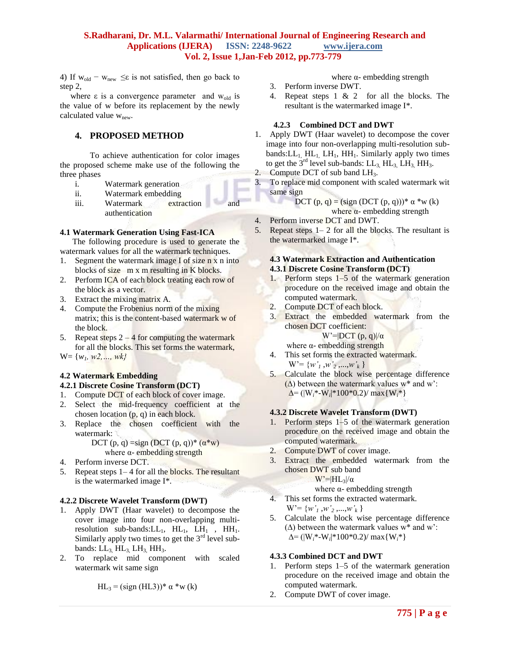4) If  $w_{old} - w_{new} \leq \epsilon$  is not satisfied, then go back to step 2,

where  $\varepsilon$  is a convergence parameter and  $w_{old}$  is the value of w before its replacement by the newly calculated value w<sub>new</sub>.

# **4. PROPOSED METHOD**

To achieve authentication for color images the proposed scheme make use of the following the three phases

- i. Watermark generation
- ii. Watermark embedding
- iii. Watermark extraction and authentication

#### **4.1 Watermark Generation Using Fast-ICA**

 The following procedure is used to generate the watermark values for all the watermark techniques.

- 1. Segment the watermark image I of size n x n into blocks of size m x m resulting in K blocks.
- 2. Perform ICA of each block treating each row of the block as a vector.
- 3. Extract the mixing matrix A.
- 4. Compute the Frobenius norm of the mixing matrix; this is the content-based watermark w of the block.
- 5. Repeat steps  $2 4$  for computing the watermark for all the blocks. This set forms the watermark,

W= {*w1, w2,…, wk}*

# **4.2 Watermark Embedding**

# **4.2.1 Discrete Cosine Transform (DCT)**

- 1. Compute DCT of each block of cover image.
- 2. Select the mid-frequency coefficient at the chosen location (p, q) in each block.
- 3. Replace the chosen coefficient with the watermark:

DCT (p, q) = sign (DCT (p, q))\*  $(\alpha^*w)$ where  $\alpha$ - embedding strength

- 4. Perform inverse DCT.
- 5. Repeat steps 1– 4 for all the blocks. The resultant is the watermarked image I\*.

# **4.2.2 Discrete Wavelet Transform (DWT)**

- 1. Apply DWT (Haar wavelet) to decompose the cover image into four non-overlapping multiresolution sub-bands: $LL_1$ ,  $HL_1$ ,  $LH_1$ ,  $HH_1$ . Similarly apply two times to get the  $3<sup>rd</sup>$  level subbands:  $LL_3$ ,  $HL_3$ ,  $LH_3$ ,  $HH_3$ .
- 2. To replace mid component with scaled watermark wit same sign

$$
HL_3 = (sign (HL3))^* \alpha * w (k)
$$

where  $\alpha$ - embedding strength

- 3. Perform inverse DWT.
- 4. Repeat steps 1 & 2 for all the blocks. The resultant is the watermarked image I\*.

### **4.2.3 Combined DCT and DWT**

- 1. Apply DWT (Haar wavelet) to decompose the cover image into four non-overlapping multi-resolution subbands: $LL_1$  HL<sub>1</sub>, LH<sub>1</sub>, HH<sub>1</sub>. Similarly apply two times to get the  $3<sup>rd</sup>$  level sub-bands: LL<sub>3</sub>, HL<sub>3</sub>, LH<sub>3</sub>, HH<sub>3</sub>.
- 2. Compute DCT of sub band  $LH_3$ .
- 3. To replace mid component with scaled watermark wit same sign

$$
DCT (p, q) = (sign (DCT (p, q))) * α * w (k)
$$
  
where α- embedding strength

- 4. Perform inverse DCT and DWT.
- 5. Repeat steps  $1-2$  for all the blocks. The resultant is the watermarked image I\*.

#### **4.3 Watermark Extraction and Authentication 4.3.1 Discrete Cosine Transform (DCT)**

- 1. Perform steps 1–5 of the watermark generation procedure on the received image and obtain the computed watermark.
- 2. Compute DCT of each block.<br>3. Extract the embedded war
- Extract the embedded watermark from the chosen DCT coefficient:

W'= $|DCT(p,q)|/a$ 

- where  $\alpha$  embedding strength
- 4. This set forms the extracted watermark.  $W' = \{w'_1, w'_2, ..., w'_k\}$
- 5. Calculate the block wise percentage difference  $(\Delta)$  between the watermark values w\* and w':  $\Delta = (|\mathbf{W}_i^* - \mathbf{W}_i^*| 100^* 0.2) / \max{\{\mathbf{W}_i^*\}}$

# **4.3.2 Discrete Wavelet Transform (DWT)**

- 1. Perform steps 1–5 of the watermark generation procedure on the received image and obtain the computed watermark.
- 2. Compute DWT of cover image.
- 3. Extract the embedded watermark from the chosen DWT sub band

 $W' = |HL_3|/\alpha$ 

- where  $\alpha$  embedding strength
- 4. This set forms the extracted watermark.  $W' = \{w'_{1}, w'_{2}, ..., w'_{k}\}\$
- 5. Calculate the block wise percentage difference  $(\Delta)$  between the watermark values w\* and w': ∆= (|W*i*\*-W*<sup>i</sup>* |\*100\*0.2)/ max{W*i*\*}

# **4.3.3 Combined DCT and DWT**

- 1. Perform steps 1–5 of the watermark generation procedure on the received image and obtain the computed watermark.
- 2. Compute DWT of cover image.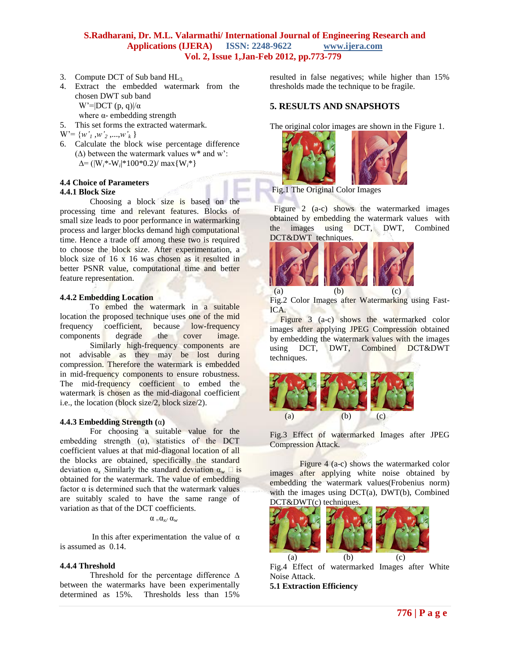- 3. Compute DCT of Sub band HL3.
- 4. Extract the embedded watermark from the chosen DWT sub band W'= $|DCT (p, q)|/a$ where  $\alpha$ - embedding strength
- 5. This set forms the extracted watermark.
- $W' = \{w'_{1}, w'_{2}, ..., w'_{k}\}\$
- 6. Calculate the block wise percentage difference  $(\Delta)$  between the watermark values w\* and w': ∆= (|W*i*\*-W*<sup>i</sup>* |\*100\*0.2)/ max{W*i*\*}

#### **4.4 Choice of Parameters 4.4.1 Block Size**

Choosing a block size is based on the processing time and relevant features. Blocks of small size leads to poor performance in watermarking process and larger blocks demand high computational time. Hence a trade off among these two is required to choose the block size. After experimentation, a block size of 16 x 16 was chosen as it resulted in better PSNR value, computational time and better feature representation.

## **4.4.2 Embedding Location**

To embed the watermark in a suitable location the proposed technique uses one of the mid frequency coefficient, because low-frequency components degrade the cover image. Similarly high-frequency components are not advisable as they may be lost during compression. Therefore the watermark is embedded in mid-frequency components to ensure robustness. The mid-frequency coefficient to embed the watermark is chosen as the mid-diagonal coefficient i.e., the location (block size/2, block size/2).

#### **4.4.3 Embedding Strength (**α**)**

For choosing a suitable value for the embedding strength  $(\alpha)$ , statistics of the DCT coefficient values at that mid-diagonal location of all the blocks are obtained, specifically the standard deviation  $\alpha_x$  Similarly the standard deviation  $\alpha_w \Box$  is obtained for the watermark. The value of embedding factor  $\alpha$  is determined such that the watermark values are suitably scaled to have the same range of variation as that of the DCT coefficients.

#### α *<sup>=</sup>*α*x/* α*<sup>w</sup>*

In this after experimentation the value of  $\alpha$ is assumed as 0.14.

#### **4.4.4 Threshold**

Threshold for the percentage difference ∆ between the watermarks have been experimentally determined as 15%. Thresholds less than 15%

resulted in false negatives; while higher than 15% thresholds made the technique to be fragile.

# **5. RESULTS AND SNAPSHOTS**

The original color images are shown in the Figure 1.





 Figure 2 (a-c) shows the watermarked images obtained by embedding the watermark values with the images using DCT, DWT, Combined DCT&DWT techniques.



 (a) (b) (c) Fig.2 Color Images after Watermarking using Fast-ICA.

 Figure 3 (a-c) shows the watermarked color images after applying JPEG Compression obtained by embedding the watermark values with the images using DCT, DWT, Combined DCT&DWT techniques.



Fig.3 Effect of watermarked Images after JPEG Compression Attack.

 Figure 4 (a-c) shows the watermarked color images after applying white noise obtained by embedding the watermark values(Frobenius norm) with the images using DCT(a), DWT(b), Combined DCT&DWT(c) techniques.



Fig.4 Effect of watermarked Images after White Noise Attack.

**5.1 Extraction Efficiency**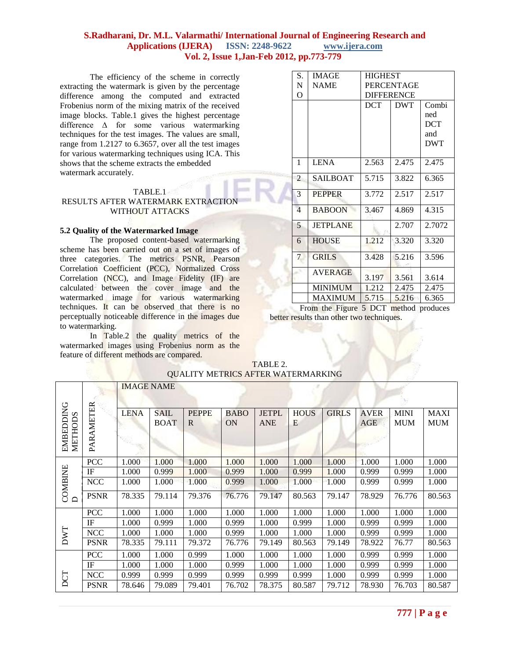The efficiency of the scheme in correctly extracting the watermark is given by the percentage difference among the computed and extracted Frobenius norm of the mixing matrix of the received image blocks. Table.1 gives the highest percentage difference ∆ for some various watermarking techniques for the test images. The values are small, range from 1.2127 to 6.3657, over all the test images for various watermarking techniques using ICA. This shows that the scheme extracts the embedded watermark accurately.

# TABLE.1

# RESULTS AFTER WATERMARK EXTRACTION WITHOUT ATTACKS

# **5.2 Quality of the Watermarked Image**

The proposed content-based watermarking scheme has been carried out on a set of images of three categories. The metrics PSNR, Pearson Correlation Coefficient (PCC), Normalized Cross Correlation (NCC), and Image Fidelity (IF) are calculated between the cover image and the watermarked image for various watermarking techniques. It can be observed that there is no perceptually noticeable difference in the images due to watermarking.

In Table.2 the quality metrics of the watermarked images using Frobenius norm as the feature of different methods are compared.

|  | S.             | <b>IMAGE</b>    | <b>HIGHEST</b>    |            |                                   |  |  |  |  |
|--|----------------|-----------------|-------------------|------------|-----------------------------------|--|--|--|--|
|  | N              | <b>NAME</b>     | <b>PERCENTAGE</b> |            |                                   |  |  |  |  |
|  | O              |                 | <b>DIFFERENCE</b> |            |                                   |  |  |  |  |
|  |                |                 | <b>DCT</b>        | <b>DWT</b> | Combi<br>ned<br><b>DCT</b><br>and |  |  |  |  |
|  | 1              | <b>LENA</b>     | 2.563             | 2.475      | <b>DWT</b><br>2.475               |  |  |  |  |
|  | $\overline{2}$ | <b>SAILBOAT</b> | 5.715             | 3.822      | 6.365                             |  |  |  |  |
|  | 3              | <b>PEPPER</b>   | 3.772             | 2.517      | 2.517                             |  |  |  |  |
|  | $\overline{4}$ | <b>BABOON</b>   | 3.467             | 4.869      | 4.315                             |  |  |  |  |
|  | 5              | <b>JETPLANE</b> |                   | 2.707      | 2.7072                            |  |  |  |  |
|  | 6              | <b>HOUSE</b>    | 1.212             | 3.320      | 3.320                             |  |  |  |  |
|  | 7              | <b>GRILS</b>    | 3.428             | 5.216      | 3.596                             |  |  |  |  |
|  |                | <b>AVERAGE</b>  | 3.197             | 3.561      | 3.614                             |  |  |  |  |
|  |                | <b>MINIMUM</b>  | 1.212             | 2.475      | 2.475                             |  |  |  |  |
|  |                | <b>MAXIMUM</b>  | 5.715             | 5.216      | 6.365                             |  |  |  |  |

From the Figure 5 DCT method produces better results than other two techniques.

| OUALII Y MEIRICS AFIER WATERMARKING                       |             |                   |                     |                   |                          |                            |                  |              |                           |                           |                           |
|-----------------------------------------------------------|-------------|-------------------|---------------------|-------------------|--------------------------|----------------------------|------------------|--------------|---------------------------|---------------------------|---------------------------|
|                                                           |             | <b>IMAGE NAME</b> |                     |                   |                          |                            |                  |              |                           |                           |                           |
| EMBEDDING<br>METHODS                                      | PARAMETER   | <b>LENA</b>       | <b>SAIL</b><br>BOAT | <b>PEPPE</b><br>R | <b>BABO</b><br><b>ON</b> | <b>JETPL</b><br><b>ANE</b> | <b>HOUS</b><br>E | <b>GIRLS</b> | <b>AVER</b><br><b>AGE</b> | <b>MINI</b><br><b>MUM</b> | <b>MAXI</b><br><b>MUM</b> |
|                                                           | <b>PCC</b>  | 1.000             | 1.000               | 1.000             | 1.000                    | 1.000                      | 1.000            | 1.000        | 1.000                     | 1.000                     | 1.000                     |
|                                                           | IF          | 1.000             | 0.999               | 1.000             | 0.999                    | 1.000                      | 0.999            | 1.000        | 0.999                     | 0.999                     | 1.000                     |
|                                                           | <b>NCC</b>  | 1.000             | 1.000               | 1.000             | 0.999                    | 1.000                      | 1.000            | 1.000        | 0.999                     | 0.999                     | 1.000                     |
| $\begin{array}{c} \text{COMBINE} \\ \text{D} \end{array}$ | <b>PSNR</b> | 78.335            | 79.114              | 79.376            | 76.776                   | 79.147                     | 80.563           | 79.147       | 78.929                    | 76.776                    | 80.563                    |
|                                                           | <b>PCC</b>  | 1.000             | 1.000               | 1.000             | 1.000                    | 1.000                      | 1.000            | 1.000        | 1.000                     | 1.000                     | 1.000                     |
|                                                           | IF          | 1.000             | 0.999               | 1.000             | 0.999                    | 1.000                      | 0.999            | 1.000        | 0.999                     | 0.999                     | 1.000                     |
| <b>LMU</b>                                                | <b>NCC</b>  | 1.000             | 1.000               | 1.000             | 0.999                    | 1.000                      | 1.000            | 1.000        | 0.999                     | 0.999                     | 1.000                     |
|                                                           | <b>PSNR</b> | 78.335            | 79.111              | 79.372            | 76.776                   | 79.149                     | 80.563           | 79.149       | 78.922                    | 76.77                     | 80.563                    |
|                                                           | <b>PCC</b>  | 1.000             | 1.000               | 0.999             | 1.000                    | 1.000                      | 1.000            | 1.000        | 0.999                     | 0.999                     | 1.000                     |
|                                                           | IF          | 1.000             | 1.000               | 1.000             | 0.999                    | 1.000                      | 1.000            | 1.000        | 0.999                     | 0.999                     | 1.000                     |
| DCT                                                       | <b>NCC</b>  | 0.999             | 0.999               | 0.999             | 0.999                    | 0.999                      | 0.999            | 1.000        | 0.999                     | 0.999                     | 1.000                     |
|                                                           | <b>PSNR</b> | 78.646            | 79.089              | 79.401            | 76.702                   | 78.375                     | 80.587           | 79.712       | 78.930                    | 76.703                    | 80.587                    |

TABLE 2. QUALITY METRICS AFTER WATERMARKING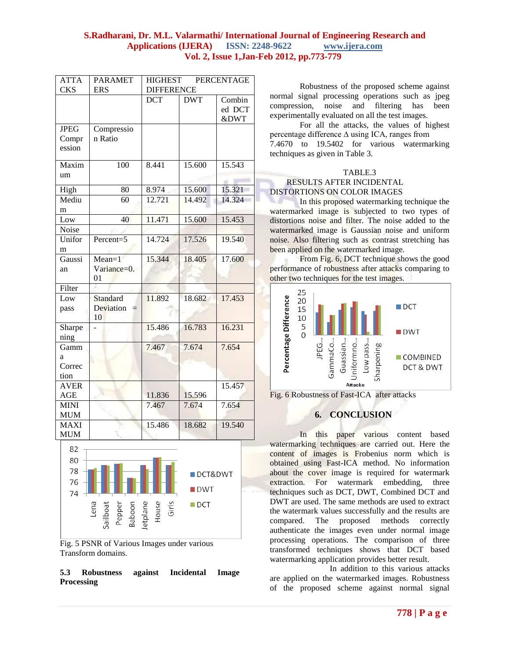| <b>ATTA</b><br><b>CKS</b> | <b>PARAMET</b><br><b>ERS</b> | <b>HIGHEST</b><br><b>PERCENTAGE</b><br><b>DIFFERENCE</b> |                    |        |  |  |
|---------------------------|------------------------------|----------------------------------------------------------|--------------------|--------|--|--|
|                           |                              | <b>DCT</b>                                               | <b>DWT</b>         | Combin |  |  |
|                           |                              |                                                          |                    | ed DCT |  |  |
|                           |                              |                                                          |                    | &DWT   |  |  |
| <b>JPEG</b>               | Compressio                   |                                                          |                    |        |  |  |
| Compr                     | n Ratio                      |                                                          |                    |        |  |  |
| ession                    |                              |                                                          |                    |        |  |  |
| Maxim                     | 100                          | 8.441                                                    | 15.600             | 15.543 |  |  |
| um                        |                              |                                                          |                    |        |  |  |
| High                      | 80                           | 8.974                                                    | 15.600             | 15.321 |  |  |
| Mediu                     | 60                           | 12.721                                                   | 14.492             | 14.324 |  |  |
| m                         |                              |                                                          |                    |        |  |  |
| Low                       | 40                           | 11.471                                                   | 15.600             | 15.453 |  |  |
| Noise                     |                              |                                                          |                    |        |  |  |
| Unifor                    | Percent=5                    | 14.724                                                   | 17.526             | 19.540 |  |  |
| m                         |                              |                                                          |                    |        |  |  |
| Gaussi                    | $Mean=1$                     | 15.344                                                   | 18.405             | 17.600 |  |  |
| an                        | Variance=0.                  |                                                          |                    |        |  |  |
|                           | 01                           |                                                          |                    |        |  |  |
| Filter                    |                              |                                                          |                    |        |  |  |
| <b>Standard</b><br>Low    |                              | 11.892                                                   | 18.682             | 17.453 |  |  |
| pass                      | Deviation                    |                                                          |                    |        |  |  |
| Sharpe                    | 10                           | 15.486                                                   | 16.783             | 16.231 |  |  |
| ning                      |                              |                                                          |                    |        |  |  |
| Gamm                      |                              | 7.467                                                    | 7.674              | 7.654  |  |  |
| a                         |                              |                                                          |                    |        |  |  |
| Correc                    |                              |                                                          |                    |        |  |  |
| tion                      |                              |                                                          |                    |        |  |  |
| <b>AVER</b>               |                              |                                                          |                    | 15.457 |  |  |
| AGE                       |                              | 11.836                                                   | 15.596             |        |  |  |
| <b>MINI</b>               |                              | 7.467                                                    | 7.674              | 7.654  |  |  |
| <b>MUM</b>                |                              |                                                          |                    |        |  |  |
| <b>MAXI</b>               |                              | 15.486                                                   | 18.682             | 19.540 |  |  |
| <b>MUM</b>                |                              |                                                          |                    |        |  |  |
| 82                        |                              |                                                          |                    |        |  |  |
| 80                        |                              |                                                          |                    |        |  |  |
| 78                        | DCT&DWT                      |                                                          |                    |        |  |  |
| 76                        |                              |                                                          |                    |        |  |  |
| 74                        |                              |                                                          | <b>DWT</b>         |        |  |  |
|                           | Lena                         | Girls                                                    | $\blacksquare$ DCT |        |  |  |
|                           | Sailboat<br>Baboon<br>Pepper | House<br>etplane                                         |                    |        |  |  |
|                           |                              |                                                          |                    |        |  |  |
|                           |                              |                                                          |                    |        |  |  |



### **5.3 Robustness against Incidental Image Processing**

Robustness of the proposed scheme against normal signal processing operations such as jpeg compression, noise and filtering has been experimentally evaluated on all the test images.

For all the attacks, the values of highest percentage difference ∆ using ICA, ranges from 7.4670 to 19.5402 for various watermarking techniques as given in Table 3.

#### TABLE.3

# RESULTS AFTER INCIDENTAL DISTORTIONS ON COLOR IMAGES

In this proposed watermarking technique the watermarked image is subjected to two types of distortions noise and filter. The noise added to the watermarked image is Gaussian noise and uniform noise. Also filtering such as contrast stretching has been applied on the watermarked image.

From Fig. 6, DCT technique shows the good performance of robustness after attacks comparing to other two techniques for the test images.



Fig. 6 Robustness of Fast-ICA after attacks

# **6. CONCLUSION**

In this paper various content based watermarking techniques are carried out. Here the content of images is Frobenius norm which is obtained using Fast-ICA method. No information about the cover image is required for watermark extraction. For watermark embedding, three techniques such as DCT, DWT, Combined DCT and DWT are used. The same methods are used to extract the watermark values successfully and the results are compared. The proposed methods correctly authenticate the images even under normal image processing operations. The comparison of three transformed techniques shows that DCT based watermarking application provides better result.

In addition to this various attacks are applied on the watermarked images. Robustness of the proposed scheme against normal signal